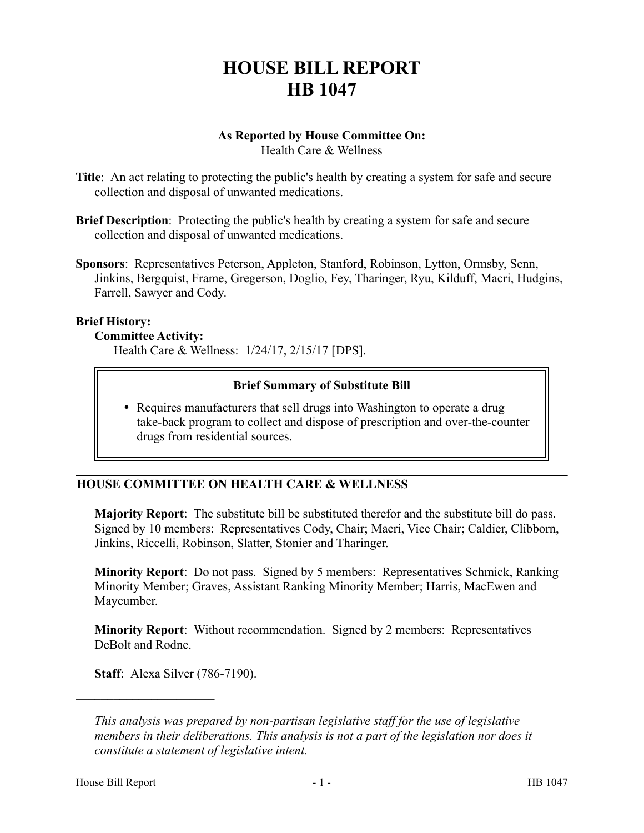# **HOUSE BILL REPORT HB 1047**

#### **As Reported by House Committee On:** Health Care & Wellness

- **Title**: An act relating to protecting the public's health by creating a system for safe and secure collection and disposal of unwanted medications.
- **Brief Description**: Protecting the public's health by creating a system for safe and secure collection and disposal of unwanted medications.
- **Sponsors**: Representatives Peterson, Appleton, Stanford, Robinson, Lytton, Ormsby, Senn, Jinkins, Bergquist, Frame, Gregerson, Doglio, Fey, Tharinger, Ryu, Kilduff, Macri, Hudgins, Farrell, Sawyer and Cody.

### **Brief History:**

#### **Committee Activity:**

Health Care & Wellness: 1/24/17, 2/15/17 [DPS].

# **Brief Summary of Substitute Bill**

• Requires manufacturers that sell drugs into Washington to operate a drug take-back program to collect and dispose of prescription and over-the-counter drugs from residential sources.

# **HOUSE COMMITTEE ON HEALTH CARE & WELLNESS**

**Majority Report**: The substitute bill be substituted therefor and the substitute bill do pass. Signed by 10 members: Representatives Cody, Chair; Macri, Vice Chair; Caldier, Clibborn, Jinkins, Riccelli, Robinson, Slatter, Stonier and Tharinger.

**Minority Report**: Do not pass. Signed by 5 members: Representatives Schmick, Ranking Minority Member; Graves, Assistant Ranking Minority Member; Harris, MacEwen and Maycumber.

**Minority Report**: Without recommendation. Signed by 2 members: Representatives DeBolt and Rodne.

**Staff**: Alexa Silver (786-7190).

––––––––––––––––––––––

*This analysis was prepared by non-partisan legislative staff for the use of legislative members in their deliberations. This analysis is not a part of the legislation nor does it constitute a statement of legislative intent.*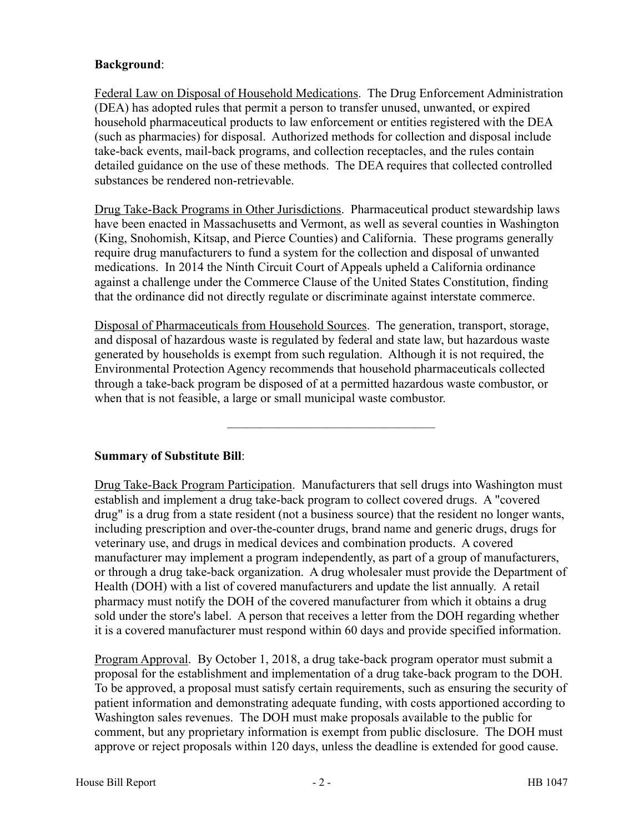# **Background**:

Federal Law on Disposal of Household Medications. The Drug Enforcement Administration (DEA) has adopted rules that permit a person to transfer unused, unwanted, or expired household pharmaceutical products to law enforcement or entities registered with the DEA (such as pharmacies) for disposal. Authorized methods for collection and disposal include take-back events, mail-back programs, and collection receptacles, and the rules contain detailed guidance on the use of these methods. The DEA requires that collected controlled substances be rendered non-retrievable.

Drug Take-Back Programs in Other Jurisdictions. Pharmaceutical product stewardship laws have been enacted in Massachusetts and Vermont, as well as several counties in Washington (King, Snohomish, Kitsap, and Pierce Counties) and California. These programs generally require drug manufacturers to fund a system for the collection and disposal of unwanted medications. In 2014 the Ninth Circuit Court of Appeals upheld a California ordinance against a challenge under the Commerce Clause of the United States Constitution, finding that the ordinance did not directly regulate or discriminate against interstate commerce.

Disposal of Pharmaceuticals from Household Sources. The generation, transport, storage, and disposal of hazardous waste is regulated by federal and state law, but hazardous waste generated by households is exempt from such regulation. Although it is not required, the Environmental Protection Agency recommends that household pharmaceuticals collected through a take-back program be disposed of at a permitted hazardous waste combustor, or when that is not feasible, a large or small municipal waste combustor.

–––––––––––––––––––––––––––––––––

**Summary of Substitute Bill**:

Drug Take-Back Program Participation. Manufacturers that sell drugs into Washington must establish and implement a drug take-back program to collect covered drugs. A "covered drug" is a drug from a state resident (not a business source) that the resident no longer wants, including prescription and over-the-counter drugs, brand name and generic drugs, drugs for veterinary use, and drugs in medical devices and combination products. A covered manufacturer may implement a program independently, as part of a group of manufacturers, or through a drug take-back organization. A drug wholesaler must provide the Department of Health (DOH) with a list of covered manufacturers and update the list annually. A retail pharmacy must notify the DOH of the covered manufacturer from which it obtains a drug sold under the store's label. A person that receives a letter from the DOH regarding whether it is a covered manufacturer must respond within 60 days and provide specified information.

Program Approval. By October 1, 2018, a drug take-back program operator must submit a proposal for the establishment and implementation of a drug take-back program to the DOH. To be approved, a proposal must satisfy certain requirements, such as ensuring the security of patient information and demonstrating adequate funding, with costs apportioned according to Washington sales revenues. The DOH must make proposals available to the public for comment, but any proprietary information is exempt from public disclosure. The DOH must approve or reject proposals within 120 days, unless the deadline is extended for good cause.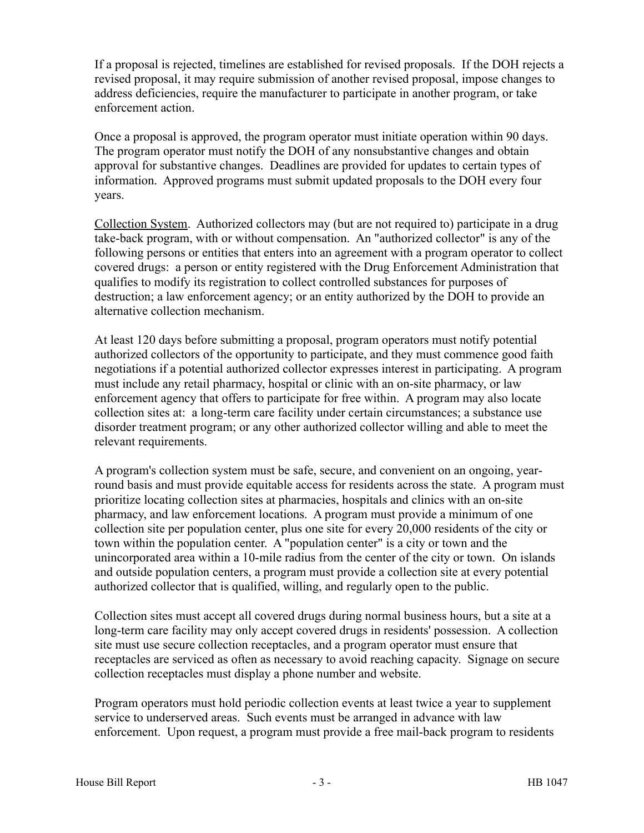If a proposal is rejected, timelines are established for revised proposals. If the DOH rejects a revised proposal, it may require submission of another revised proposal, impose changes to address deficiencies, require the manufacturer to participate in another program, or take enforcement action.

Once a proposal is approved, the program operator must initiate operation within 90 days. The program operator must notify the DOH of any nonsubstantive changes and obtain approval for substantive changes. Deadlines are provided for updates to certain types of information. Approved programs must submit updated proposals to the DOH every four years.

Collection System. Authorized collectors may (but are not required to) participate in a drug take-back program, with or without compensation. An "authorized collector" is any of the following persons or entities that enters into an agreement with a program operator to collect covered drugs: a person or entity registered with the Drug Enforcement Administration that qualifies to modify its registration to collect controlled substances for purposes of destruction; a law enforcement agency; or an entity authorized by the DOH to provide an alternative collection mechanism.

At least 120 days before submitting a proposal, program operators must notify potential authorized collectors of the opportunity to participate, and they must commence good faith negotiations if a potential authorized collector expresses interest in participating. A program must include any retail pharmacy, hospital or clinic with an on-site pharmacy, or law enforcement agency that offers to participate for free within. A program may also locate collection sites at: a long-term care facility under certain circumstances; a substance use disorder treatment program; or any other authorized collector willing and able to meet the relevant requirements.

A program's collection system must be safe, secure, and convenient on an ongoing, yearround basis and must provide equitable access for residents across the state. A program must prioritize locating collection sites at pharmacies, hospitals and clinics with an on-site pharmacy, and law enforcement locations. A program must provide a minimum of one collection site per population center, plus one site for every 20,000 residents of the city or town within the population center. A "population center" is a city or town and the unincorporated area within a 10-mile radius from the center of the city or town. On islands and outside population centers, a program must provide a collection site at every potential authorized collector that is qualified, willing, and regularly open to the public.

Collection sites must accept all covered drugs during normal business hours, but a site at a long-term care facility may only accept covered drugs in residents' possession. A collection site must use secure collection receptacles, and a program operator must ensure that receptacles are serviced as often as necessary to avoid reaching capacity. Signage on secure collection receptacles must display a phone number and website.

Program operators must hold periodic collection events at least twice a year to supplement service to underserved areas. Such events must be arranged in advance with law enforcement. Upon request, a program must provide a free mail-back program to residents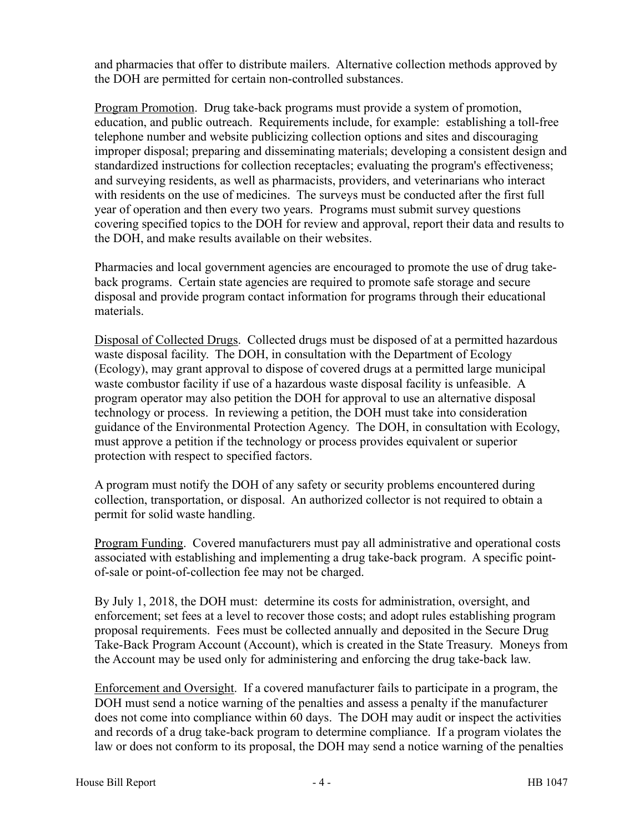and pharmacies that offer to distribute mailers. Alternative collection methods approved by the DOH are permitted for certain non-controlled substances.

Program Promotion. Drug take-back programs must provide a system of promotion, education, and public outreach. Requirements include, for example: establishing a toll-free telephone number and website publicizing collection options and sites and discouraging improper disposal; preparing and disseminating materials; developing a consistent design and standardized instructions for collection receptacles; evaluating the program's effectiveness; and surveying residents, as well as pharmacists, providers, and veterinarians who interact with residents on the use of medicines. The surveys must be conducted after the first full year of operation and then every two years. Programs must submit survey questions covering specified topics to the DOH for review and approval, report their data and results to the DOH, and make results available on their websites.

Pharmacies and local government agencies are encouraged to promote the use of drug takeback programs. Certain state agencies are required to promote safe storage and secure disposal and provide program contact information for programs through their educational materials.

Disposal of Collected Drugs. Collected drugs must be disposed of at a permitted hazardous waste disposal facility. The DOH, in consultation with the Department of Ecology (Ecology), may grant approval to dispose of covered drugs at a permitted large municipal waste combustor facility if use of a hazardous waste disposal facility is unfeasible. A program operator may also petition the DOH for approval to use an alternative disposal technology or process. In reviewing a petition, the DOH must take into consideration guidance of the Environmental Protection Agency. The DOH, in consultation with Ecology, must approve a petition if the technology or process provides equivalent or superior protection with respect to specified factors.

A program must notify the DOH of any safety or security problems encountered during collection, transportation, or disposal. An authorized collector is not required to obtain a permit for solid waste handling.

Program Funding. Covered manufacturers must pay all administrative and operational costs associated with establishing and implementing a drug take-back program. A specific pointof-sale or point-of-collection fee may not be charged.

By July 1, 2018, the DOH must: determine its costs for administration, oversight, and enforcement; set fees at a level to recover those costs; and adopt rules establishing program proposal requirements. Fees must be collected annually and deposited in the Secure Drug Take-Back Program Account (Account), which is created in the State Treasury. Moneys from the Account may be used only for administering and enforcing the drug take-back law.

Enforcement and Oversight. If a covered manufacturer fails to participate in a program, the DOH must send a notice warning of the penalties and assess a penalty if the manufacturer does not come into compliance within 60 days. The DOH may audit or inspect the activities and records of a drug take-back program to determine compliance. If a program violates the law or does not conform to its proposal, the DOH may send a notice warning of the penalties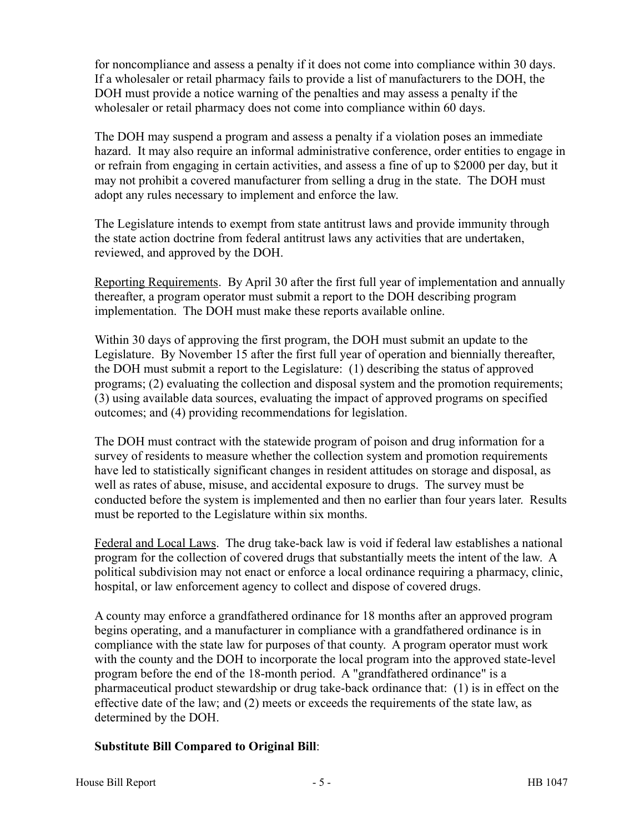for noncompliance and assess a penalty if it does not come into compliance within 30 days. If a wholesaler or retail pharmacy fails to provide a list of manufacturers to the DOH, the DOH must provide a notice warning of the penalties and may assess a penalty if the wholesaler or retail pharmacy does not come into compliance within 60 days.

The DOH may suspend a program and assess a penalty if a violation poses an immediate hazard. It may also require an informal administrative conference, order entities to engage in or refrain from engaging in certain activities, and assess a fine of up to \$2000 per day, but it may not prohibit a covered manufacturer from selling a drug in the state. The DOH must adopt any rules necessary to implement and enforce the law.

The Legislature intends to exempt from state antitrust laws and provide immunity through the state action doctrine from federal antitrust laws any activities that are undertaken, reviewed, and approved by the DOH.

Reporting Requirements. By April 30 after the first full year of implementation and annually thereafter, a program operator must submit a report to the DOH describing program implementation. The DOH must make these reports available online.

Within 30 days of approving the first program, the DOH must submit an update to the Legislature. By November 15 after the first full year of operation and biennially thereafter, the DOH must submit a report to the Legislature: (1) describing the status of approved programs; (2) evaluating the collection and disposal system and the promotion requirements; (3) using available data sources, evaluating the impact of approved programs on specified outcomes; and (4) providing recommendations for legislation.

The DOH must contract with the statewide program of poison and drug information for a survey of residents to measure whether the collection system and promotion requirements have led to statistically significant changes in resident attitudes on storage and disposal, as well as rates of abuse, misuse, and accidental exposure to drugs. The survey must be conducted before the system is implemented and then no earlier than four years later. Results must be reported to the Legislature within six months.

Federal and Local Laws. The drug take-back law is void if federal law establishes a national program for the collection of covered drugs that substantially meets the intent of the law. A political subdivision may not enact or enforce a local ordinance requiring a pharmacy, clinic, hospital, or law enforcement agency to collect and dispose of covered drugs.

A county may enforce a grandfathered ordinance for 18 months after an approved program begins operating, and a manufacturer in compliance with a grandfathered ordinance is in compliance with the state law for purposes of that county. A program operator must work with the county and the DOH to incorporate the local program into the approved state-level program before the end of the 18-month period. A "grandfathered ordinance" is a pharmaceutical product stewardship or drug take-back ordinance that: (1) is in effect on the effective date of the law; and (2) meets or exceeds the requirements of the state law, as determined by the DOH.

# **Substitute Bill Compared to Original Bill**: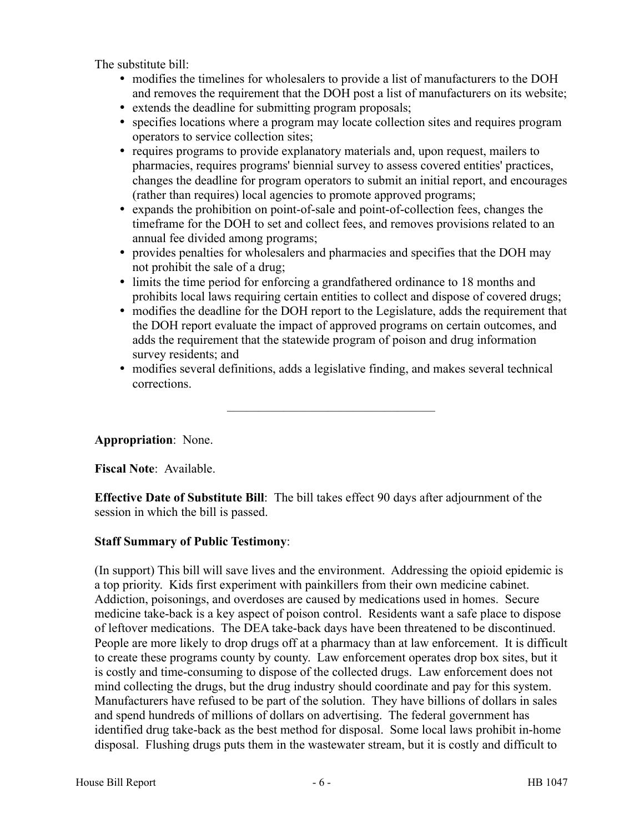The substitute bill:

- modifies the timelines for wholesalers to provide a list of manufacturers to the DOH and removes the requirement that the DOH post a list of manufacturers on its website;
- extends the deadline for submitting program proposals;
- specifies locations where a program may locate collection sites and requires program operators to service collection sites;
- requires programs to provide explanatory materials and, upon request, mailers to pharmacies, requires programs' biennial survey to assess covered entities' practices, changes the deadline for program operators to submit an initial report, and encourages (rather than requires) local agencies to promote approved programs;
- expands the prohibition on point-of-sale and point-of-collection fees, changes the timeframe for the DOH to set and collect fees, and removes provisions related to an annual fee divided among programs;
- provides penalties for wholesalers and pharmacies and specifies that the DOH may not prohibit the sale of a drug;
- limits the time period for enforcing a grandfathered ordinance to 18 months and prohibits local laws requiring certain entities to collect and dispose of covered drugs;
- modifies the deadline for the DOH report to the Legislature, adds the requirement that the DOH report evaluate the impact of approved programs on certain outcomes, and adds the requirement that the statewide program of poison and drug information survey residents; and
- modifies several definitions, adds a legislative finding, and makes several technical corrections.

–––––––––––––––––––––––––––––––––

# **Appropriation**: None.

**Fiscal Note**: Available.

**Effective Date of Substitute Bill**: The bill takes effect 90 days after adjournment of the session in which the bill is passed.

# **Staff Summary of Public Testimony**:

(In support) This bill will save lives and the environment. Addressing the opioid epidemic is a top priority. Kids first experiment with painkillers from their own medicine cabinet. Addiction, poisonings, and overdoses are caused by medications used in homes. Secure medicine take-back is a key aspect of poison control. Residents want a safe place to dispose of leftover medications. The DEA take-back days have been threatened to be discontinued. People are more likely to drop drugs off at a pharmacy than at law enforcement. It is difficult to create these programs county by county. Law enforcement operates drop box sites, but it is costly and time-consuming to dispose of the collected drugs. Law enforcement does not mind collecting the drugs, but the drug industry should coordinate and pay for this system. Manufacturers have refused to be part of the solution. They have billions of dollars in sales and spend hundreds of millions of dollars on advertising. The federal government has identified drug take-back as the best method for disposal. Some local laws prohibit in-home disposal. Flushing drugs puts them in the wastewater stream, but it is costly and difficult to